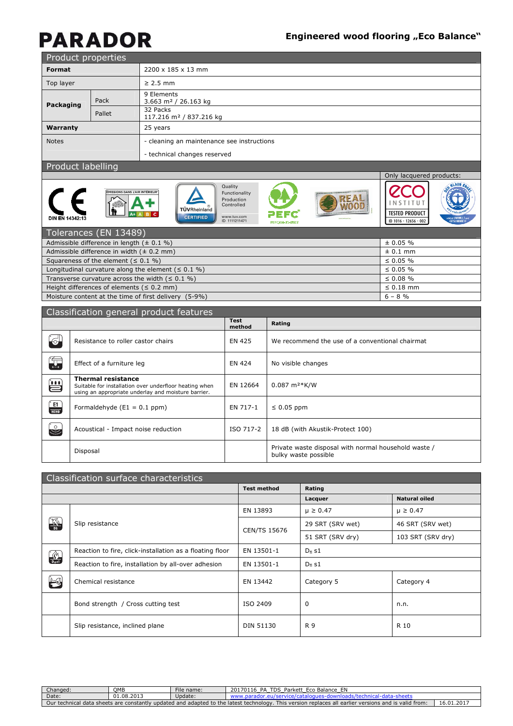# **PARADOR**

Only lacquered products:

**ZCO** 

INSTITUT **TESTED PRODUCT** 

ID 1016 - 12656 - 002

**REAL**<br>WOOD

BLAUE EN

|                          | Product properties |                                                 |  |  |  |
|--------------------------|--------------------|-------------------------------------------------|--|--|--|
| Format                   |                    | 2200 x 185 x 13 mm                              |  |  |  |
| Top layer                |                    | $\geq$ 2.5 mm                                   |  |  |  |
| Packaging                | Pack               | 9 Elements<br>3.663 m <sup>2</sup> / 26.163 kg  |  |  |  |
|                          | Pallet             | 32 Packs<br>117.216 m <sup>2</sup> / 837.216 kg |  |  |  |
| Warranty                 |                    | 25 years                                        |  |  |  |
| <b>Notes</b>             |                    | - cleaning an maintenance see instructions      |  |  |  |
|                          |                    | - technical changes reserved                    |  |  |  |
| <b>Product labelling</b> |                    |                                                 |  |  |  |

### Product labelling

| DIN EN 14342:13    | ÉMISSIONS DANS L'AIR INTÉRIEUR' | $\blacktriangleright$<br>(R)<br>TÜVRheinland<br><b>CERTIFIED</b> | Quality<br>Functionality<br>Production<br>Controlled<br>www.tuv.com<br>ID 1111211471 | PEFC/04-31-0507 |
|--------------------|---------------------------------|------------------------------------------------------------------|--------------------------------------------------------------------------------------|-----------------|
| <i>Lalawan ana</i> | 24001                           |                                                                  |                                                                                      |                 |

| Tolerances (EN 13489)                                     |                |
|-----------------------------------------------------------|----------------|
| Admissible difference in length $(\pm 0.1 \%)$            | $\pm 0.05 \%$  |
| Admissible difference in width $(± 0.2 mm)$               | $± 0.1$ mm     |
| Squareness of the element ( $\leq 0.1$ %)                 | $\leq 0.05 \%$ |
| Longitudinal curvature along the element $( \leq 0.1 % )$ | $\leq 0.05 \%$ |
| Transverse curvature across the width ( $\leq 0.1$ %)     | $\leq 0.08 \%$ |
| Height differences of elements ( $\leq 0.2$ mm)           | $\leq$ 0.18 mm |
| Moisture content at the time of first delivery (5-9%)     | $6 - 8$ %      |
|                                                           |                |

|                   | Classification general product features                                                                                                    |                       |                                                                              |  |  |  |  |
|-------------------|--------------------------------------------------------------------------------------------------------------------------------------------|-----------------------|------------------------------------------------------------------------------|--|--|--|--|
|                   |                                                                                                                                            | <b>Test</b><br>method | Rating                                                                       |  |  |  |  |
| $\Theta$          | Resistance to roller castor chairs                                                                                                         | EN 425                | We recommend the use of a conventional chairmat                              |  |  |  |  |
| 写                 | Effect of a furniture leg                                                                                                                  | EN 424                | No visible changes                                                           |  |  |  |  |
| 曾                 | <b>Thermal resistance</b><br>Suitable for installation over underfloor heating when<br>using an appropriate underlay and moisture barrier. | EN 12664              | $0.087 \text{ m}^{2*}$ K/W                                                   |  |  |  |  |
| $\frac{E1}{HCHO}$ | Formaldehyde $(E1 = 0.1$ ppm)                                                                                                              | EN 717-1              | $\leq 0.05$ ppm                                                              |  |  |  |  |
| $\mathbb{C}$      | Acoustical - Impact noise reduction                                                                                                        | ISO 717-2             | 18 dB (with Akustik-Protect 100)                                             |  |  |  |  |
|                   | Disposal                                                                                                                                   |                       | Private waste disposal with normal household waste /<br>bulky waste possible |  |  |  |  |

|                                   | Classification surface characteristics                   |                  |                  |                      |  |  |  |  |
|-----------------------------------|----------------------------------------------------------|------------------|------------------|----------------------|--|--|--|--|
| Rating<br><b>Test method</b>      |                                                          |                  |                  |                      |  |  |  |  |
|                                   |                                                          |                  | Lacquer          | <b>Natural oiled</b> |  |  |  |  |
|                                   |                                                          | EN 13893         | $\mu \ge 0.47$   | $\mu \ge 0.47$       |  |  |  |  |
| <b>Ka</b>                         | Slip resistance                                          | CEN/TS 15676     | 29 SRT (SRV wet) | 46 SRT (SRV wet)     |  |  |  |  |
|                                   |                                                          |                  | 51 SRT (SRV dry) | 103 SRT (SRV dry)    |  |  |  |  |
| $\frac{3}{2}$                     | Reaction to fire, click-installation as a floating floor | EN 13501-1       | $D_{fl}$ s1      |                      |  |  |  |  |
|                                   | Reaction to fire, installation by all-over adhesion      | EN 13501-1       | $D_{fl}$ s1      |                      |  |  |  |  |
| $\begin{bmatrix} 1 \end{bmatrix}$ | Chemical resistance                                      | EN 13442         | Category 5       | Category 4           |  |  |  |  |
|                                   | Bond strength / Cross cutting test                       | ISO 2409         | 0                | n.n.                 |  |  |  |  |
|                                   | Slip resistance, inclined plane                          | <b>DIN 51130</b> | R 9              | R 10                 |  |  |  |  |

| Changed.                                                                                                                                                                          | OMB        | File name: | 201<br>FN<br><b>70</b><br>TDS<br>PΔ<br>Parkett<br>: Eco Balance |  |
|-----------------------------------------------------------------------------------------------------------------------------------------------------------------------------------|------------|------------|-----------------------------------------------------------------|--|
| Date:                                                                                                                                                                             | 01.08.2013 | Update:    | <b><i>MAINA</i></b>                                             |  |
| d adapted to the latest technology. This version replaces all earlier versions and is valid from:<br>16.01.2017<br>r technical data sheets are constantly.<br>supdated and<br>Jur |            |            |                                                                 |  |
|                                                                                                                                                                                   |            |            |                                                                 |  |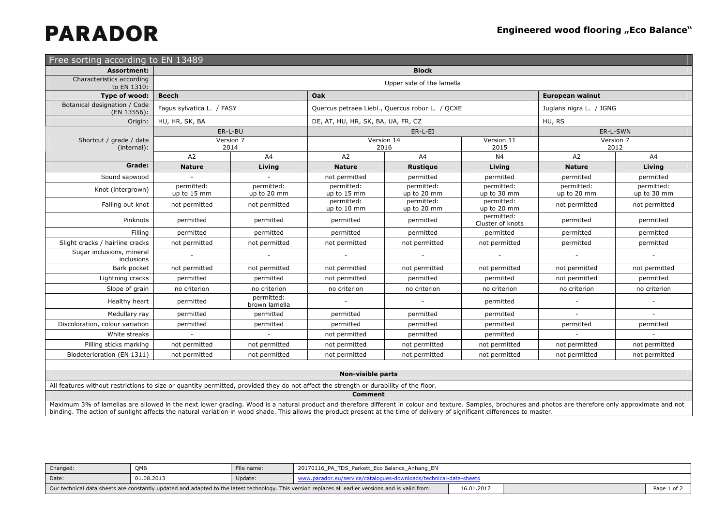## **PARADOR**

| Free sorting according to EN 13489          |                           |                             |                                    |                                                 |                                |                           |                           |  |  |
|---------------------------------------------|---------------------------|-----------------------------|------------------------------------|-------------------------------------------------|--------------------------------|---------------------------|---------------------------|--|--|
| <b>Assortment:</b>                          | <b>Block</b>              |                             |                                    |                                                 |                                |                           |                           |  |  |
| Characteristics according<br>to EN 1310:    |                           | Upper side of the lamella   |                                    |                                                 |                                |                           |                           |  |  |
| Type of wood:                               | <b>Beech</b>              |                             | Oak                                |                                                 |                                | European walnut           |                           |  |  |
| Botanical designation / Code<br>(EN 13556): | Fagus sylvatica L. / FASY |                             |                                    | Quercus petraea Liebl., Quercus robur L. / QCXE |                                | Juglans nigra L. / JGNG   |                           |  |  |
| Origin:                                     | HU, HR, SK, BA            |                             | DE, AT, HU, HR, SK, BA, UA, FR, CZ |                                                 |                                | HU, RS                    |                           |  |  |
|                                             |                           | ER-L-BU                     |                                    | ER-L-EI                                         | Version 11                     | ER-L-SWN                  |                           |  |  |
| Shortcut / grade / date<br>(internal):      |                           | Version 7<br>2014           |                                    | Version 14<br>2016                              |                                | Version 7<br>2012         |                           |  |  |
|                                             | A <sub>2</sub>            | A <sub>4</sub>              | A <sub>2</sub>                     | A <sub>4</sub>                                  | N <sub>4</sub>                 | A2                        | A4                        |  |  |
| Grade:                                      | <b>Nature</b>             | Living                      | <b>Nature</b>                      | <b>Rustique</b>                                 | Living                         | <b>Nature</b>             | Living                    |  |  |
| Sound sapwood                               |                           |                             | not permitted                      | permitted                                       | permitted                      | permitted                 | permitted                 |  |  |
| Knot (intergrown)                           | permitted:<br>up to 15 mm | permitted:<br>up to 20 mm   | permitted:<br>up to 15 mm          | permitted:<br>up to 20 mm                       | permitted:<br>up to 30 mm      | permitted:<br>up to 20 mm | permitted:<br>up to 30 mm |  |  |
| Falling out knot                            | not permitted             | not permitted               | permitted:<br>up to 10 mm          | permitted:<br>up to 20 mm                       | permitted:<br>up to 20 mm      | not permitted             | not permitted             |  |  |
| Pinknots                                    | permitted                 | permitted                   | permitted                          | permitted                                       | permitted:<br>Cluster of knots | permitted                 | permitted                 |  |  |
| Filling                                     | permitted                 | permitted                   | permitted                          | permitted                                       | permitted                      | permitted                 | permitted                 |  |  |
| Slight cracks / hairline cracks             | not permitted             | not permitted               | not permitted                      | not permitted                                   | not permitted                  | permitted                 | permitted                 |  |  |
| Sugar inclusions, mineral<br>inclusions     |                           |                             |                                    |                                                 |                                |                           |                           |  |  |
| Bark pocket                                 | not permitted             | not permitted               | not permitted                      | not permitted                                   | not permitted                  | not permitted             | not permitted             |  |  |
| Lightning cracks                            | permitted                 | permitted                   | not permitted                      | permitted                                       | permitted                      | not permitted             | permitted                 |  |  |
| Slope of grain                              | no criterion              | no criterion                | no criterion                       | no criterion                                    | no criterion                   | no criterion              | no criterion              |  |  |
| Healthy heart                               | permitted                 | permitted:<br>brown lamella |                                    |                                                 | permitted                      |                           |                           |  |  |
| Medullary ray                               | permitted                 | permitted                   | permitted                          | permitted                                       | permitted                      |                           |                           |  |  |
| Discoloration, colour variation             | permitted                 | permitted                   | permitted                          | permitted                                       | permitted                      | permitted                 | permitted                 |  |  |
| White streaks                               |                           |                             | not permitted                      | permitted                                       | permitted                      |                           |                           |  |  |
| Pilling sticks marking                      | not permitted             | not permitted               | not permitted                      | not permitted                                   | not permitted                  | not permitted             | not permitted             |  |  |
| Biodeterioration (EN 1311)                  | not permitted             | not permitted               | not permitted                      | not permitted                                   | not permitted                  | not permitted             | not permitted             |  |  |

#### **Non-visible parts**

All features without restrictions to size or quantity permitted, provided they do not affect the strength or durability of the floor.

#### **Comment**

Maximum 3% of lamellas are allowed in the next lower grading. Wood is a natural product and therefore different in colour and texture. Samples, brochures and photos are therefore only approximate and not binding. The action of sunlight affects the natural variation in wood shade. This allows the product present at the time of delivery of significant differences to master.

| Changed:                                                                                                                                             | OMB        | File name: | 20170116 PA TDS Parkett Eco Balance Anhang EN                     |            |  |      |
|------------------------------------------------------------------------------------------------------------------------------------------------------|------------|------------|-------------------------------------------------------------------|------------|--|------|
| Date:                                                                                                                                                | 01.08.2013 | Update:    | www.parador.eu/service/catalogues-downloads/technical-data-sheets |            |  |      |
| Our technical data sheets are constantly updated and adapted to the latest technology. This version replaces all earlier versions and is valid from: |            |            |                                                                   | 16.01.2017 |  | Page |